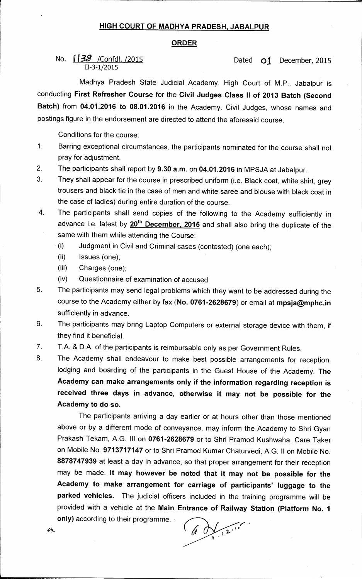## **HIGH COURT OF MADHYA PRADESH, JABALPUR**

## **ORDER**

## No.  $138$  /Confdl. /2015 **Dated Of December, 2015** 11-3-1/2015

Madhya Pradesh State Judicial Academy, High Court of M.P., Jabalpur is conducting **First Refresher Course** for the **Civil Judges Class II of 2013 Batch (Second Batch)** from **04.01.2016 to 08.01.2016** in the Academy. Civil Judges, whose names and postings figure in the endorsement are directed to attend the aforesaid course.

Conditions for the course:

- 1. Barring exceptional circumstances, the participants nominated for the course shall not pray for adjustment.
- 2. The participants shall report by **9.30 a.m.** on **04.01.2016** in MPSJA at Jabalpur.
- 3. They shall appear for the course in prescribed uniform (i.e. Black coat, white shirt, grey trousers and black tie in the case of men and white saree and blouse with black coat in the case of ladies) during entire duration of the course.

4. The participants shall send copies of the following to the Academy sufficiently in advance i.e. latest by 20<sup>th</sup> December, 2015 and shall also bring the duplicate of the same with them while attending the Course:

- (i) Judgment in Civil and Criminal cases (contested) (one each);
- (ii) Issues (one);
- (iii) Charges (one);
- (iv) Questionnaire of examination of accused
- 5 The participants may send legal problems which they want to be addressed during the course to the Academy either by fax **(No. 0761-2628679)** or email at **mpsja@mphc.in**  sufficiently in advance.
- 6. The participants may bring Laptop Computers or external storage device with them, if they find it beneficial.
- 7. T.A. & D.A. of the participants is reimbursable only as per Government Rules.
- 8. The Academy shall endeavour to make best possible arrangements for reception, lodging and boarding of the participants in the Guest House of the Academy. **The Academy can make arrangements only if the information regarding reception is received three days in advance, otherwise it may not be possible for the Academy to do so.**

The participants arriving a day earlier or at hours other than those mentioned above or by a different mode of conveyance, may inform the Academy to Shri Gyan Prakash Tekam, A.G. III on **0761-2628679** or to Shri Pramod Kushwaha, Care Taker on Mobile No. **9713717147** or to Shri Pramod Kumar Chaturvedi, A.G. II on Mobile No. **8878747939** at least a day in advance, so that proper arrangement for their reception may be made. **It may however be noted that it may not be possible for the Academy to make arrangement for carriage of participants' luggage to the parked vehicles.** The judicial officers included in the training programme will be provided with a vehicle at the **Main Entrance of Railway Station (Platform No. 1** 

**only)** according to their programme.

 $601212$ 

 $\mathcal{L}$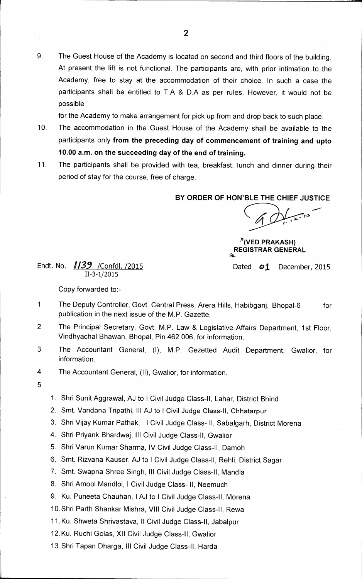9. The Guest House of the Academy is located on second and third floors of the building. At present the lift is not functional. The participants are, with prior intimation to the Academy, free to stay at the accommodation of their choice. In such a case the participants shall be entitled to T.A & D.A as per rules. However, it would not be possible

for the Academy to make arrangement for pick up from and drop back to such place.

- 10. The accommodation in the Guest House of the Academy shall be available to the participants only **from the preceding day of commencement of training and upto 10.00 a.m. on the succeeding day of the end of training.**
- 11. The participants shall be provided with tea, breakfast, lunch and dinner during their period of stay for the course, free of charge.

**BY ORDER OF HON'BLE THE CHIEF JUSTICE** 

**)P(VED PRAKASH) REGISTRAR GENERAL 5\*-** 

Endt. No. **1/39** / Confdl. /2015 **Dated 01** December, 2015 11-3-1/2015

Copy forwarded to:-

- 1 The Deputy Controller, Govt. Central Press, Arera Hills, Habibganj, Bhopal-6 for publication in the next issue of the M.P. Gazette,
- 2 The Principal Secretary, Govt. M.P. Law & Legislative Affairs Department, 1st Floor, Vindhyachal Bhawan, Bhopal, Pin 462 006, for information.
- 3 The Accountant General, (I), M.P. Gezetted Audit Department, Gwalior, for information.
- 4 The Accountant General, (II), Gwalior, for information.
- 5

1. Shri Sunit Aggrawal, AJ to I Civil Judge Class-II, Lahar, District Bhind

- 2. Smt. Vandana Tripathi, III AJ to I Civil Judge Class-II, Chhatarpur
- 3. Shri Vijay Kumar Pathak, I Civil Judge Class- II, Sabalgarh, District Morena
- 4. Shri Priyank Bhardwaj, III Civil Judge Class-II, Gwalior
- 5. Shri Varun Kumar Sharma, IV Civil Judge Class-II, Damoh
- 6. Smt. Rizvana Kauser, AJ to I Civil Judge Class-II, Rehli, District Sagar
- 7. Smt. Swapna Shree Singh, III Civil Judge Class-II, Mandla
- 8. Shri Amool Mandloi, I Civil Judge Class- II, Neemuch
- 9. Ku. Puneeta Chauhan, I AJ to I Civil Judge Class-II, Morena
- 10.Shri Parth Shankar Mishra, VIII Civil Judge Class-II, Rewa
- 11. Ku. Shweta Shrivastava, II Civil Judge Class-II, Jabalpur
- 12. Ku. Ruchi Goias, XII Civil Judge Class-II, Gwalior
- 13.Shri Tapan Dharga, Ill Civil Judge Class-II, Harda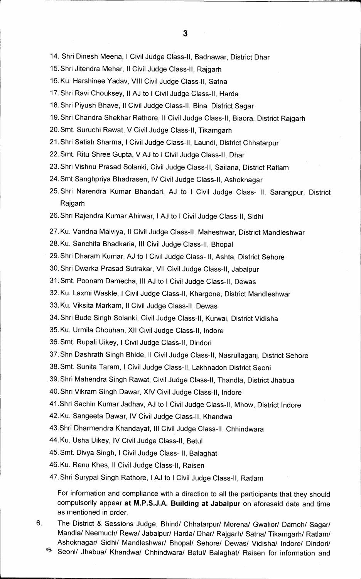14. Shri Dinesh Meena, I Civil Judge Class-II, Badnawar, District Dhar

- 15.Shri Jitendra Mehar, ll Civil Judge Class-II, Rajgarh
- 16. Ku. Harshinee Yadav, VIII Civil Judge Class-II, Satna
- 17.Shri Ravi Chouksey, II AJ to I Civil Judge Class-II, Harda
- 18.Shri Piyush Bhave, II Civil Judge Class-II, Bina, District Sagar
- 19.Shri Chandra Shekhar Rathore, ll Civil Judge Class-II, Biaora, District Rajgarh
- 20.Smt. Suruchi Rawat, V Civil Judge Class-II, Tikamgarh
- 21.Shri Satish Sharma, I Civil Judge Class-II, Laundi, District Chhatarpur
- 22. Smt. Ritu Shree Gupta, V AJ to I Civil Judge Class-II, Dhar
- 23.Shri Vishnu Prasad Solanki, Civil Judge Class-II, Sailana, District Ratlam
- 24.Smt Sanghpriya Bhadrasen, IV Civil Judge Class-II, Ashoknagar
- 25.Shri Narendra Kumar Bhandari, AJ to **I** Civil Judge Class- II, Sarangpur, District Rajgarh
- 26.Shri Rajendra Kumar Ahirwar, I AJ to I Civil Judge Class-II, Sidhi
- 27.Ku. Vandna Malviya, II Civil Judge Class-II, Maheshwar, District Mandleshwar
- 28. Ku. Sanchita Bhadkaria, III Civil Judge Class-II, Bhopal
- 29.Shri Dharam Kumar, AJ to I Civil Judge Class- II, Ashta, District Sehore
- 30.Shri Dwarka Prasad Sutrakar, VII Civil Judge Class-II, Jabalpur
- 31.Smt. Poonam Damecha, Ill AJ to I Civil Judge Class-II, Dewas
- 32. Ku. Laxmi Waskle, I Civil Judge Class-II, Khargone, District Mandleshwar
- 33. Ku. Viksita Markam, ll Civil Judge Class-II, Dewas
- 34.Shri Bude Singh Solanki, Civil Judge Class-II, Kurwai, District Vidisha
- 35. Ku. Urmila Chouhan, XII Civil Judge Class-II, Indore
- 36.Smt. Rupali Uikey, I Civil Judge Class-II, Dindori
- 37.Shri Dashrath Singh Bhide, ll Civil Judge Class-II, Nasrullaganj, District Sehore
- 38.Smt. Sunita Taram, I Civil Judge Class-II, Lakhnadon District Seoni
- 39.Shri Mahendra Singh Rawat, Civil Judge Class-II, Thandla, District Jhabua
- 40.Shri Vikram Singh Dawar, XIV Civil Judge Class-II, Indore
- 41.Shri Sachin Kumar Jadhav, AJ to I Civil Judge Class-II, Mhow, District Indore
- 42. Ku. Sangeeta Dawar, IV Civil Judge Class-II, Khandwa
- 43.Shri Dharmendra Khandayat, Ill Civil Judge Class-II, Chhindwara
- 44. Ku. Usha Uikey, IV Civil Judge Class-II, Betul
- 45.Smt. Divya Singh, **I** Civil Judge Class- II, Balaghat
- 46. Ku. Renu Khes, II Civil Judge Class-II, Raisen
- 47.Shri Surypal Singh Rathore, **I** AJ to **I** Civil Judge Class-II, Ratlam

For information and compliance with a direction to all the participants that they should compulsorily appear **at M.P.S.J.A. Building at Jabalpur** on aforesaid date and time as mentioned in order.

- 6. The District & Sessions Judge, Bhind/ Chhatarpur/ Morena/ Gwalior/ Damoh/ Sagan/ Mandla/ Neemuch/ Rewa/ Jabalpur/ Harda/ Dhar/ Rajgarh/ Satna/ Tikamgarh/ Ratlam/ Ashoknagar/ Sidhi/ Mandleshwar/ Bhopal/ Sehore/ Dewas/ Vidisha/ Indore/ Dindori/
	- Seoni/ Jhabua/ Khandwa/ Chhindwara/ Betul/ Balaghat/ Raisen for information and